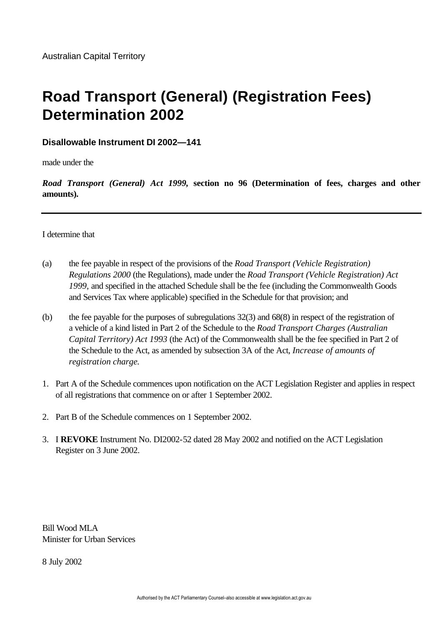# **Road Transport (General) (Registration Fees) Determination 2002**

# **Disallowable Instrument DI 2002—141**

made under the

*Road Transport (General) Act 1999,* **section no 96 (Determination of fees, charges and other amounts).** 

## I determine that

- (a) the fee payable in respect of the provisions of the *Road Transport (Vehicle Registration) Regulations 2000* (the Regulations), made under the *Road Transport (Vehicle Registration) Act 1999,* and specified in the attached Schedule shall be the fee (including the Commonwealth Goods and Services Tax where applicable) specified in the Schedule for that provision; and
- (b) the fee payable for the purposes of subregulations 32(3) and 68(8) in respect of the registration of a vehicle of a kind listed in Part 2 of the Schedule to the *Road Transport Charges (Australian Capital Territory) Act 1993* (the Act) of the Commonwealth shall be the fee specified in Part 2 of the Schedule to the Act, as amended by subsection 3A of the Act, *Increase of amounts of registration charge.*
- 1. Part A of the Schedule commences upon notification on the ACT Legislation Register and applies in respect of all registrations that commence on or after 1 September 2002.
- 2. Part B of the Schedule commences on 1 September 2002.
- 3. I **REVOKE** Instrument No. DI2002-52 dated 28 May 2002 and notified on the ACT Legislation Register on 3 June 2002.

Bill Wood MLA Minister for Urban Services

8 July 2002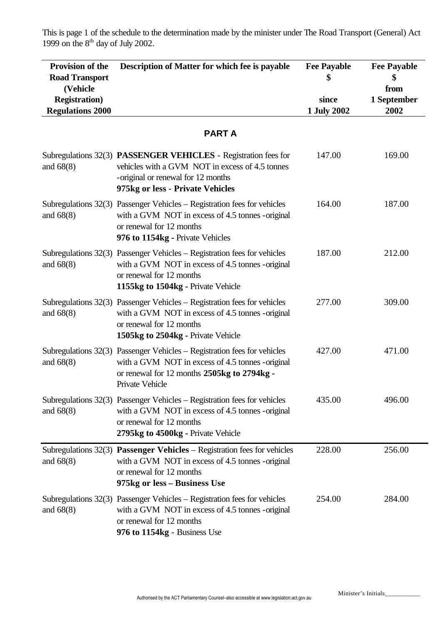This is page 1 of the schedule to the determination made by the minister under The Road Transport (General) Act 1999 on the  $8<sup>th</sup>$  day of July 2002.

| Provision of the<br><b>Road Transport</b><br>(Vehicle<br><b>Registration</b> )<br><b>Regulations 2000</b> | Description of Matter for which fee is payable                                                                                                                                                    | <b>Fee Payable</b><br>since<br>1 July 2002 | <b>Fee Payable</b><br>\$<br>from<br>1 September<br>2002 |
|-----------------------------------------------------------------------------------------------------------|---------------------------------------------------------------------------------------------------------------------------------------------------------------------------------------------------|--------------------------------------------|---------------------------------------------------------|
|                                                                                                           | <b>PARTA</b>                                                                                                                                                                                      |                                            |                                                         |
| and $68(8)$                                                                                               | Subregulations 32(3) PASSENGER VEHICLES - Registration fees for<br>vehicles with a GVM NOT in excess of 4.5 tonnes<br>-original or renewal for 12 months<br>975kg or less - Private Vehicles      | 147.00                                     | 169.00                                                  |
| and $68(8)$                                                                                               | Subregulations 32(3) Passenger Vehicles – Registration fees for vehicles<br>with a GVM NOT in excess of 4.5 tonnes -original<br>or renewal for 12 months<br>976 to 1154kg - Private Vehicles      | 164.00                                     | 187.00                                                  |
| and $68(8)$                                                                                               | Subregulations 32(3) Passenger Vehicles – Registration fees for vehicles<br>with a GVM NOT in excess of 4.5 tonnes -original<br>or renewal for 12 months<br>1155kg to 1504kg - Private Vehicle    | 187.00                                     | 212.00                                                  |
| and $68(8)$                                                                                               | Subregulations 32(3) Passenger Vehicles – Registration fees for vehicles<br>with a GVM NOT in excess of 4.5 tonnes -original<br>or renewal for 12 months<br>1505kg to 2504kg - Private Vehicle    | 277.00                                     | 309.00                                                  |
| and $68(8)$                                                                                               | Subregulations 32(3) Passenger Vehicles - Registration fees for vehicles<br>with a GVM NOT in excess of 4.5 tonnes -original<br>or renewal for 12 months 2505kg to 2794kg -<br>Private Vehicle    | 427.00                                     | 471.00                                                  |
| and $68(8)$                                                                                               | Subregulations $32(3)$ Passenger Vehicles – Registration fees for vehicles<br>with a GVM NOT in excess of 4.5 tonnes - original<br>or renewal for 12 months<br>2795kg to 4500kg - Private Vehicle | 435.00                                     | 496.00                                                  |
| and $68(8)$                                                                                               | Subregulations $32(3)$ <b>Passenger Vehicles</b> – Registration fees for vehicles<br>with a GVM NOT in excess of 4.5 tonnes -original<br>or renewal for 12 months<br>975kg or less – Business Use | 228.00                                     | 256.00                                                  |
| and $68(8)$                                                                                               | Subregulations 32(3) Passenger Vehicles – Registration fees for vehicles<br>with a GVM NOT in excess of 4.5 tonnes - original<br>or renewal for 12 months<br>976 to 1154kg - Business Use         | 254.00                                     | 284.00                                                  |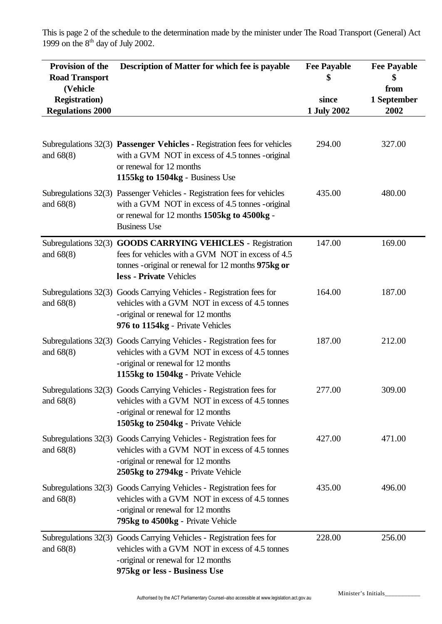This is page 2 of the schedule to the determination made by the minister under The Road Transport (General) Act 1999 on the  $8<sup>th</sup>$  day of July 2002.

| Provision of the<br><b>Road Transport</b><br>(Vehicle<br><b>Registration</b> )<br><b>Regulations 2000</b> | <b>Description of Matter for which fee is payable</b>                                                                                                                                               | <b>Fee Payable</b><br>since<br>1 July 2002 | <b>Fee Payable</b><br>\$<br>from<br>1 September<br>2002 |
|-----------------------------------------------------------------------------------------------------------|-----------------------------------------------------------------------------------------------------------------------------------------------------------------------------------------------------|--------------------------------------------|---------------------------------------------------------|
| and $68(8)$                                                                                               | Subregulations 32(3) Passenger Vehicles - Registration fees for vehicles<br>with a GVM NOT in excess of 4.5 tonnes -original<br>or renewal for 12 months<br>1155kg to 1504kg - Business Use         | 294.00                                     | 327.00                                                  |
| and $68(8)$                                                                                               | Subregulations 32(3) Passenger Vehicles - Registration fees for vehicles<br>with a GVM NOT in excess of 4.5 tonnes -original<br>or renewal for 12 months 1505kg to 4500kg -<br><b>Business Use</b>  | 435.00                                     | 480.00                                                  |
| and $68(8)$                                                                                               | Subregulations 32(3) GOODS CARRYING VEHICLES - Registration<br>fees for vehicles with a GVM NOT in excess of 4.5<br>tonnes - original or renewal for 12 months 975kg or<br>less - Private Vehicles  | 147.00                                     | 169.00                                                  |
| and $68(8)$                                                                                               | Subregulations 32(3) Goods Carrying Vehicles - Registration fees for<br>vehicles with a GVM NOT in excess of 4.5 tonnes<br>-original or renewal for 12 months<br>976 to 1154kg - Private Vehicles   | 164.00                                     | 187.00                                                  |
| and $68(8)$                                                                                               | Subregulations 32(3) Goods Carrying Vehicles - Registration fees for<br>vehicles with a GVM NOT in excess of 4.5 tonnes<br>-original or renewal for 12 months<br>1155kg to 1504kg - Private Vehicle | 187.00                                     | 212.00                                                  |
| and $68(8)$                                                                                               | Subregulations 32(3) Goods Carrying Vehicles - Registration fees for<br>vehicles with a GVM NOT in excess of 4.5 tonnes<br>-original or renewal for 12 months<br>1505kg to 2504kg - Private Vehicle | 277.00                                     | 309.00                                                  |
| and $68(8)$                                                                                               | Subregulations 32(3) Goods Carrying Vehicles - Registration fees for<br>vehicles with a GVM NOT in excess of 4.5 tonnes<br>-original or renewal for 12 months<br>2505kg to 2794kg - Private Vehicle | 427.00                                     | 471.00                                                  |
| and $68(8)$                                                                                               | Subregulations 32(3) Goods Carrying Vehicles - Registration fees for<br>vehicles with a GVM NOT in excess of 4.5 tonnes<br>-original or renewal for 12 months<br>795kg to 4500kg - Private Vehicle  | 435.00                                     | 496.00                                                  |
| and $68(8)$                                                                                               | Subregulations 32(3) Goods Carrying Vehicles - Registration fees for<br>vehicles with a GVM NOT in excess of 4.5 tonnes<br>-original or renewal for 12 months<br>975kg or less - Business Use       | 228.00                                     | 256.00                                                  |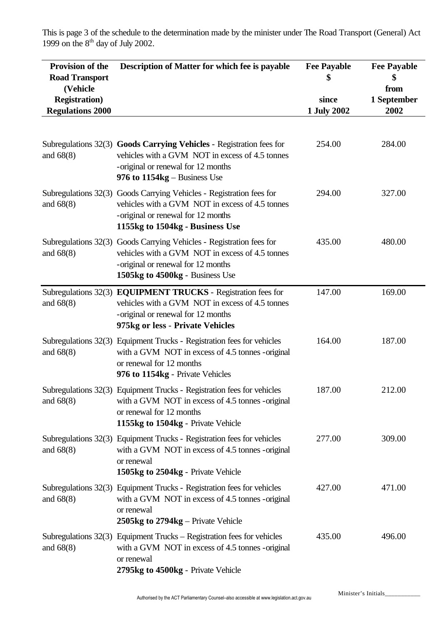This is page 3 of the schedule to the determination made by the minister under The Road Transport (General) Act 1999 on the  $8<sup>th</sup>$  day of July 2002.

| Provision of the<br><b>Road Transport</b><br>(Vehicle<br><b>Registration</b> )<br><b>Regulations 2000</b> | Description of Matter for which fee is payable                                                                                                                                                   | <b>Fee Payable</b><br>since<br>1 July 2002 | <b>Fee Payable</b><br>\$<br>from<br>1 September<br>2002 |
|-----------------------------------------------------------------------------------------------------------|--------------------------------------------------------------------------------------------------------------------------------------------------------------------------------------------------|--------------------------------------------|---------------------------------------------------------|
| and $68(8)$                                                                                               | Subregulations 32(3) Goods Carrying Vehicles - Registration fees for<br>vehicles with a GVM NOT in excess of 4.5 tonnes<br>-original or renewal for 12 months<br>976 to $1154kg - Business$ Use  | 254.00                                     | 284.00                                                  |
| and $68(8)$                                                                                               | Subregulations 32(3) Goods Carrying Vehicles - Registration fees for<br>vehicles with a GVM NOT in excess of 4.5 tonnes<br>-original or renewal for 12 months<br>1155kg to 1504kg - Business Use | 294.00                                     | 327.00                                                  |
| and $68(8)$                                                                                               | Subregulations 32(3) Goods Carrying Vehicles - Registration fees for<br>vehicles with a GVM NOT in excess of 4.5 tonnes<br>-original or renewal for 12 months<br>1505kg to 4500kg - Business Use | 435.00                                     | 480.00                                                  |
| and $68(8)$                                                                                               | Subregulations 32(3) EQUIPMENT TRUCKS - Registration fees for<br>vehicles with a GVM NOT in excess of 4.5 tonnes<br>-original or renewal for 12 months<br>975kg or less - Private Vehicles       | 147.00                                     | 169.00                                                  |
| and $68(8)$                                                                                               | Subregulations 32(3) Equipment Trucks - Registration fees for vehicles<br>with a GVM NOT in excess of 4.5 tonnes -original<br>or renewal for 12 months<br>976 to 1154kg - Private Vehicles       | 164.00                                     | 187.00                                                  |
| and $68(8)$                                                                                               | Subregulations 32(3) Equipment Trucks - Registration fees for vehicles<br>with a GVM NOT in excess of 4.5 tonnes - original<br>or renewal for 12 months<br>1155kg to 1504kg - Private Vehicle    | 187.00                                     | 212.00                                                  |
| and $68(8)$                                                                                               | Subregulations 32(3) Equipment Trucks - Registration fees for vehicles<br>with a GVM NOT in excess of 4.5 tonnes -original<br>or renewal<br>1505kg to 2504kg - Private Vehicle                   | 277.00                                     | 309.00                                                  |
| and $68(8)$                                                                                               | Subregulations 32(3) Equipment Trucks - Registration fees for vehicles<br>with a GVM NOT in excess of 4.5 tonnes - original<br>or renewal<br>2505 $kg$ to 2794 $kg$ – Private Vehicle            | 427.00                                     | 471.00                                                  |
| and $68(8)$                                                                                               | Subregulations $32(3)$ Equipment Trucks – Registration fees for vehicles<br>with a GVM NOT in excess of 4.5 tonnes -original<br>or renewal<br>2795kg to 4500kg - Private Vehicle                 | 435.00                                     | 496.00                                                  |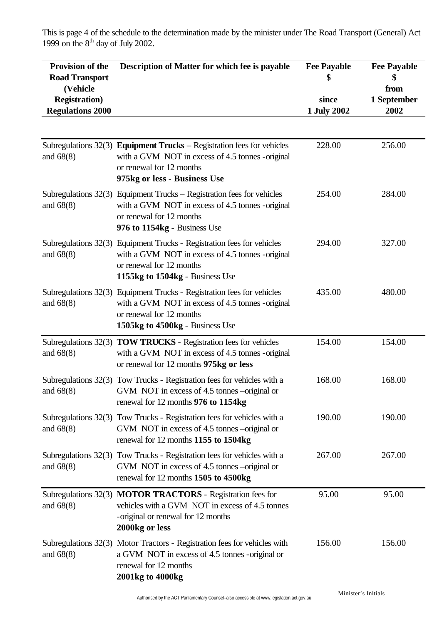This is page 4 of the schedule to the determination made by the minister under The Road Transport (General) Act 1999 on the  $8<sup>th</sup>$  day of July 2002.

| Provision of the<br><b>Road Transport</b><br>(Vehicle | Description of Matter for which fee is payable                                                                                                                                            | <b>Fee Payable</b>   | <b>Fee Payable</b><br>\$<br>from |
|-------------------------------------------------------|-------------------------------------------------------------------------------------------------------------------------------------------------------------------------------------------|----------------------|----------------------------------|
| <b>Registration</b> )<br><b>Regulations 2000</b>      |                                                                                                                                                                                           | since<br>1 July 2002 | 1 September<br>2002              |
|                                                       |                                                                                                                                                                                           |                      |                                  |
| and $68(8)$                                           | Subregulations $32(3)$ Equipment Trucks – Registration fees for vehicles<br>with a GVM NOT in excess of 4.5 tonnes -original<br>or renewal for 12 months<br>975kg or less - Business Use  | 228.00               | 256.00                           |
| and $68(8)$                                           | Subregulations $32(3)$ Equipment Trucks – Registration fees for vehicles<br>with a GVM NOT in excess of 4.5 tonnes -original<br>or renewal for 12 months<br>976 to 1154kg - Business Use  | 254.00               | 284.00                           |
| and $68(8)$                                           | Subregulations 32(3) Equipment Trucks - Registration fees for vehicles<br>with a GVM NOT in excess of 4.5 tonnes -original<br>or renewal for 12 months<br>1155kg to 1504kg - Business Use | 294.00               | 327.00                           |
| and $68(8)$                                           | Subregulations 32(3) Equipment Trucks - Registration fees for vehicles<br>with a GVM NOT in excess of 4.5 tonnes -original<br>or renewal for 12 months<br>1505kg to 4500kg - Business Use | 435.00               | 480.00                           |
| Subregulations $32(3)$<br>and $68(8)$                 | <b>TOW TRUCKS - Registration fees for vehicles</b><br>with a GVM NOT in excess of 4.5 tonnes -original<br>or renewal for 12 months 975kg or less                                          | 154.00               | 154.00                           |
| and $68(8)$                                           | Subregulations 32(3) Tow Trucks - Registration fees for vehicles with a<br>GVM NOT in excess of 4.5 tonnes –original or<br>renewal for 12 months 976 to 1154kg                            | 168.00               | 168.00                           |
| and $68(8)$                                           | Subregulations 32(3) Tow Trucks - Registration fees for vehicles with a<br>GVM NOT in excess of 4.5 tonnes –original or<br>renewal for 12 months 1155 to 1504kg                           | 190.00               | 190.00                           |
| and $68(8)$                                           | Subregulations 32(3) Tow Trucks - Registration fees for vehicles with a<br>GVM NOT in excess of 4.5 tonnes –original or<br>renewal for 12 months 1505 to 4500kg                           | 267.00               | 267.00                           |
| and $68(8)$                                           | Subregulations 32(3) MOTOR TRACTORS - Registration fees for<br>vehicles with a GVM NOT in excess of 4.5 tonnes<br>-original or renewal for 12 months<br>2000kg or less                    | 95.00                | 95.00                            |
| and $68(8)$                                           | Subregulations 32(3) Motor Tractors - Registration fees for vehicles with<br>a GVM NOT in excess of 4.5 tonnes -original or<br>renewal for 12 months<br>2001kg to 4000kg                  | 156.00               | 156.00                           |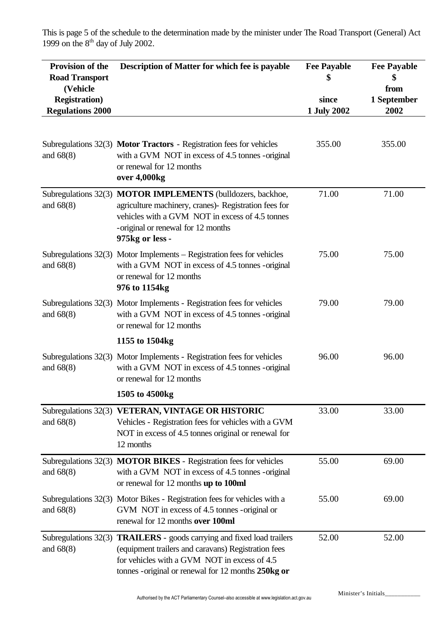This is page 5 of the schedule to the determination made by the minister under The Road Transport (General) Act 1999 on the  $8<sup>th</sup>$  day of July 2002.

| Provision of the<br><b>Road Transport</b><br>(Vehicle<br><b>Registration</b> )<br><b>Regulations 2000</b> | Description of Matter for which fee is payable                                                                                                                                                                                              | <b>Fee Payable</b><br>\$<br>since<br>1 July 2002 | <b>Fee Payable</b><br>from<br>1 September<br>2002 |
|-----------------------------------------------------------------------------------------------------------|---------------------------------------------------------------------------------------------------------------------------------------------------------------------------------------------------------------------------------------------|--------------------------------------------------|---------------------------------------------------|
| and $68(8)$                                                                                               | Subregulations 32(3) Motor Tractors - Registration fees for vehicles<br>with a GVM NOT in excess of 4.5 tonnes -original<br>or renewal for 12 months<br>over 4,000kg                                                                        | 355.00                                           | 355.00                                            |
| and $68(8)$                                                                                               | Subregulations 32(3) MOTOR IMPLEMENTS (bulldozers, backhoe,<br>agriculture machinery, cranes)- Registration fees for<br>vehicles with a GVM NOT in excess of 4.5 tonnes<br>-original or renewal for 12 months<br>975kg or less -            | 71.00                                            | 71.00                                             |
| and $68(8)$                                                                                               | Subregulations $32(3)$ Motor Implements – Registration fees for vehicles<br>with a GVM NOT in excess of 4.5 tonnes -original<br>or renewal for 12 months<br>976 to 1154kg                                                                   | 75.00                                            | 75.00                                             |
| and $68(8)$                                                                                               | Subregulations 32(3) Motor Implements - Registration fees for vehicles<br>with a GVM NOT in excess of 4.5 tonnes -original<br>or renewal for 12 months                                                                                      | 79.00                                            | 79.00                                             |
| and $68(8)$                                                                                               | 1155 to 1504kg<br>Subregulations 32(3) Motor Implements - Registration fees for vehicles<br>with a GVM NOT in excess of 4.5 tonnes -original<br>or renewal for 12 months                                                                    | 96.00                                            | 96.00                                             |
|                                                                                                           | 1505 to 4500kg                                                                                                                                                                                                                              |                                                  |                                                   |
| and $68(8)$                                                                                               | Subregulations 32(3) VETERAN, VINTAGE OR HISTORIC<br>Vehicles - Registration fees for vehicles with a GVM<br>NOT in excess of 4.5 tonnes original or renewal for<br>12 months                                                               | 33.00                                            | 33.00                                             |
| and $68(8)$                                                                                               | Subregulations 32(3) MOTOR BIKES - Registration fees for vehicles<br>with a GVM NOT in excess of 4.5 tonnes -original<br>or renewal for 12 months up to 100ml                                                                               | 55.00                                            | 69.00                                             |
| and $68(8)$                                                                                               | Subregulations 32(3) Motor Bikes - Registration fees for vehicles with a<br>GVM NOT in excess of 4.5 tonnes - original or<br>renewal for 12 months over 100ml                                                                               | 55.00                                            | 69.00                                             |
| and $68(8)$                                                                                               | Subregulations 32(3) <b>TRAILERS</b> - goods carrying and fixed load trailers<br>(equipment trailers and caravans) Registration fees<br>for vehicles with a GVM NOT in excess of 4.5<br>tonnes - original or renewal for 12 months 250kg or | 52.00                                            | 52.00                                             |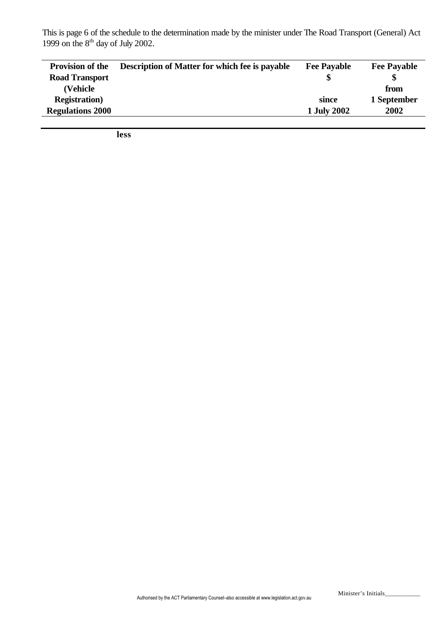This is page 6 of the schedule to the determination made by the minister under The Road Transport (General) Act 1999 on the  $8<sup>th</sup>$  day of July 2002.

| <b>Provision of the</b> | <b>Description of Matter for which fee is payable</b> | <b>Fee Payable</b> | <b>Fee Payable</b> |
|-------------------------|-------------------------------------------------------|--------------------|--------------------|
| <b>Road Transport</b>   |                                                       |                    |                    |
| (Vehicle                |                                                       |                    | from               |
| <b>Registration</b> )   |                                                       | since              | 1 September        |
| <b>Regulations 2000</b> |                                                       | 1 July 2002        | 2002               |

**less**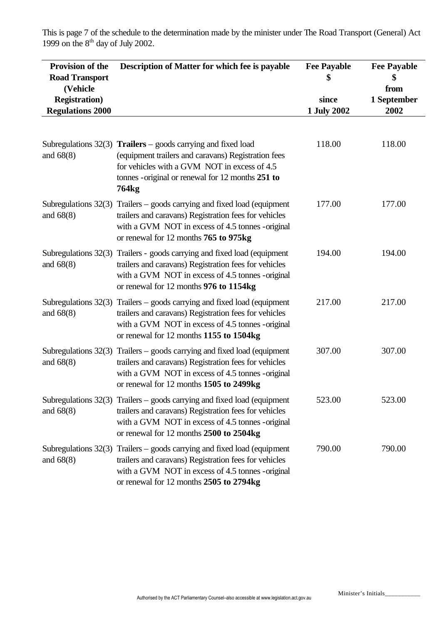This is page 7 of the schedule to the determination made by the minister under The Road Transport (General) Act 1999 on the  $8<sup>th</sup>$  day of July 2002.

| Provision of the<br><b>Road Transport</b><br>(Vehicle<br><b>Registration</b> )<br><b>Regulations 2000</b> | Description of Matter for which fee is payable                                                                                                                                                                                                   | <b>Fee Payable</b><br>since<br>1 July 2002 | <b>Fee Payable</b><br>\$<br>from<br>1 September<br>2002 |
|-----------------------------------------------------------------------------------------------------------|--------------------------------------------------------------------------------------------------------------------------------------------------------------------------------------------------------------------------------------------------|--------------------------------------------|---------------------------------------------------------|
| and $68(8)$                                                                                               | Subregulations $32(3)$ Trailers – goods carrying and fixed load<br>(equipment trailers and caravans) Registration fees<br>for vehicles with a GVM NOT in excess of 4.5<br>tonnes - original or renewal for 12 months 251 to<br>764 <sub>kg</sub> | 118.00                                     | 118.00                                                  |
| Subregulations 32(3)<br>and $68(8)$                                                                       | Trailers – goods carrying and fixed load (equipment<br>trailers and caravans) Registration fees for vehicles<br>with a GVM NOT in excess of 4.5 tonnes - original<br>or renewal for 12 months 765 to 975kg                                       | 177.00                                     | 177.00                                                  |
| and $68(8)$                                                                                               | Subregulations 32(3) Trailers - goods carrying and fixed load (equipment<br>trailers and caravans) Registration fees for vehicles<br>with a GVM NOT in excess of 4.5 tonnes -original<br>or renewal for 12 months 976 to 1154kg                  | 194.00                                     | 194.00                                                  |
| Subregulations 32(3)<br>and $68(8)$                                                                       | Trailers – goods carrying and fixed load (equipment<br>trailers and caravans) Registration fees for vehicles<br>with a GVM NOT in excess of 4.5 tonnes -original<br>or renewal for 12 months 1155 to 1504kg                                      | 217.00                                     | 217.00                                                  |
| and $68(8)$                                                                                               | Subregulations $32(3)$ Trailers – goods carrying and fixed load (equipment<br>trailers and caravans) Registration fees for vehicles<br>with a GVM NOT in excess of 4.5 tonnes -original<br>or renewal for 12 months 1505 to 2499kg               | 307.00                                     | 307.00                                                  |
| and $68(8)$                                                                                               | Subregulations $32(3)$ Trailers – goods carrying and fixed load (equipment<br>trailers and caravans) Registration fees for vehicles<br>with a GVM NOT in excess of 4.5 tonnes -original<br>or renewal for 12 months 2500 to 2504kg               | 523.00                                     | 523.00                                                  |
| and $68(8)$                                                                                               | Subregulations $32(3)$ Trailers – goods carrying and fixed load (equipment<br>trailers and caravans) Registration fees for vehicles<br>with a GVM NOT in excess of 4.5 tonnes -original<br>or renewal for 12 months 2505 to 2794kg               | 790.00                                     | 790.00                                                  |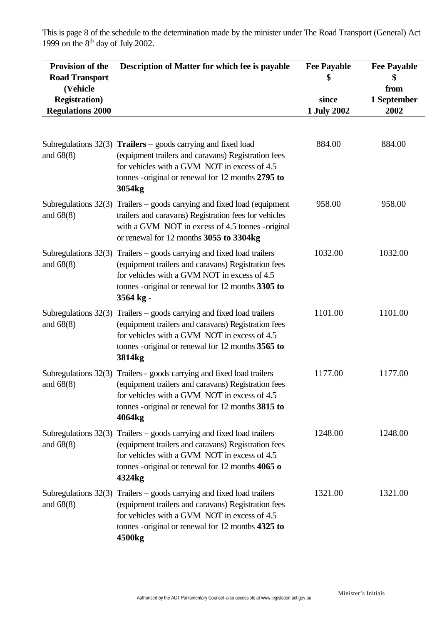This is page 8 of the schedule to the determination made by the minister under The Road Transport (General) Act 1999 on the  $8<sup>th</sup>$  day of July 2002.

| Provision of the<br><b>Road Transport</b><br>(Vehicle<br><b>Registration</b> )<br><b>Regulations 2000</b> | Description of Matter for which fee is payable                                                                                                                                                                                                               | <b>Fee Payable</b><br>since<br>1 July 2002 | <b>Fee Payable</b><br>\$<br>from<br>1 September<br>2002 |
|-----------------------------------------------------------------------------------------------------------|--------------------------------------------------------------------------------------------------------------------------------------------------------------------------------------------------------------------------------------------------------------|--------------------------------------------|---------------------------------------------------------|
| and $68(8)$                                                                                               | Subregulations $32(3)$ Trailers – goods carrying and fixed load<br>(equipment trailers and caravans) Registration fees<br>for vehicles with a GVM NOT in excess of 4.5<br>tonnes - original or renewal for 12 months 2795 to<br>3054kg                       | 884.00                                     | 884.00                                                  |
| Subregulations 32(3)<br>and $68(8)$                                                                       | Trailers – goods carrying and fixed load (equipment<br>trailers and caravans) Registration fees for vehicles<br>with a GVM NOT in excess of 4.5 tonnes -original<br>or renewal for 12 months 3055 to 3304kg                                                  | 958.00                                     | 958.00                                                  |
| and $68(8)$                                                                                               | Subregulations $32(3)$ Trailers – goods carrying and fixed load trailers<br>(equipment trailers and caravans) Registration fees<br>for vehicles with a GVM NOT in excess of 4.5<br>tonnes - original or renewal for 12 months 3305 to<br>3564 kg -           | 1032.00                                    | 1032.00                                                 |
| Subregulations 32(3)<br>and $68(8)$                                                                       | Trailers – goods carrying and fixed load trailers<br>(equipment trailers and caravans) Registration fees<br>for vehicles with a GVM NOT in excess of 4.5<br>tonnes - original or renewal for 12 months 3565 to<br>3814kg                                     | 1101.00                                    | 1101.00                                                 |
| Subregulations 32(3)<br>and $68(8)$                                                                       | Trailers - goods carrying and fixed load trailers<br>(equipment trailers and caravans) Registration fees<br>for vehicles with a GVM NOT in excess of 4.5<br>tonnes - original or renewal for 12 months 3815 to<br>4064kg                                     | 1177.00                                    | 1177.00                                                 |
| and $68(8)$                                                                                               | Subregulations $32(3)$ Trailers – goods carrying and fixed load trailers<br>(equipment trailers and caravans) Registration fees<br>for vehicles with a GVM NOT in excess of 4.5<br>tonnes - original or renewal for 12 months $4065$ o<br>4324 <sub>kg</sub> | 1248.00                                    | 1248.00                                                 |
| and $68(8)$                                                                                               | Subregulations $32(3)$ Trailers – goods carrying and fixed load trailers<br>(equipment trailers and caravans) Registration fees<br>for vehicles with a GVM NOT in excess of 4.5<br>tonnes - original or renewal for 12 months 4325 to<br>4500kg              | 1321.00                                    | 1321.00                                                 |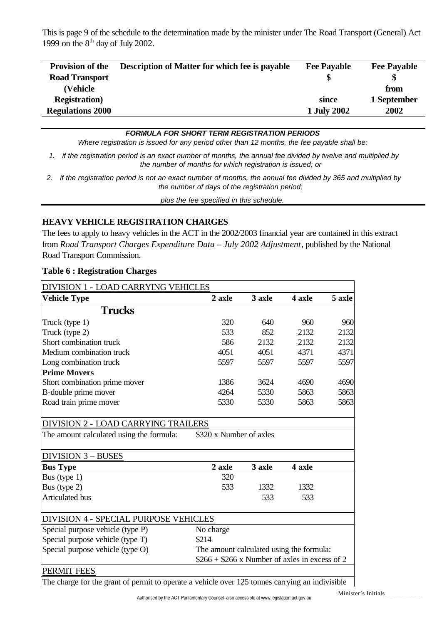This is page 9 of the schedule to the determination made by the minister under The Road Transport (General) Act 1999 on the  $8<sup>th</sup>$  day of July 2002.

| <b>Provision of the</b> | <b>Description of Matter for which fee is payable</b> | <b>Fee Payable</b> | <b>Fee Payable</b> |
|-------------------------|-------------------------------------------------------|--------------------|--------------------|
| <b>Road Transport</b>   |                                                       |                    |                    |
| (Vehicle)               |                                                       |                    | from               |
| <b>Registration</b> )   |                                                       | since              | 1 September        |
| <b>Regulations 2000</b> |                                                       | 1 July 2002        | 2002               |

#### *FORMULA FOR SHORT TERM REGISTRATION PERIODS*

*Where registration is issued for any period other than 12 months, the fee payable shall be:*

- *1. if the registration period is an exact number of months, the annual fee divided by twelve and multiplied by the number of months for which registration is issued; or*
- *2. if the registration period is not an exact number of months, the annual fee divided by 365 and multiplied by the number of days of the registration period;*

*plus the fee specified in this schedule.*

## **HEAVY VEHICLE REGISTRATION CHARGES**

The fees to apply to heavy vehicles in the ACT in the 2002/2003 financial year are contained in this extract from *Road Transport Charges Expenditure Data – July 2002 Adjustment*, published by the National Road Transport Commission.

| <b>DIVISION 1 - LOAD CARRYING VEHICLES</b>   |                                                |        |        |        |
|----------------------------------------------|------------------------------------------------|--------|--------|--------|
| <b>Vehicle Type</b>                          | 2 axle                                         | 3 axle | 4 axle | 5 axle |
| <b>Trucks</b>                                |                                                |        |        |        |
| Truck (type 1)                               | 320                                            | 640    | 960    | 960    |
| Truck (type 2)                               | 533                                            | 852    | 2132   | 2132   |
| Short combination truck                      | 586                                            | 2132   | 2132   | 2132   |
| Medium combination truck                     | 4051                                           | 4051   | 4371   | 4371   |
| Long combination truck                       | 5597                                           | 5597   | 5597   | 5597   |
| <b>Prime Movers</b>                          |                                                |        |        |        |
| Short combination prime mover                | 1386                                           | 3624   | 4690   | 4690   |
| B-double prime mover                         | 4264                                           | 5330   | 5863   | 5863   |
| Road train prime mover                       | 5330                                           | 5330   | 5863   | 5863   |
|                                              |                                                |        |        |        |
| <b>DIVISION 2 - LOAD CARRYING TRAILERS</b>   |                                                |        |        |        |
| The amount calculated using the formula:     | \$320 x Number of axles                        |        |        |        |
| <b>DIVISION 3 - BUSES</b>                    |                                                |        |        |        |
| <b>Bus Type</b>                              | 2 axle                                         | 3 axle | 4 axle |        |
| Bus (type 1)                                 | 320                                            |        |        |        |
| Bus (type 2)                                 | 533                                            | 1332   | 1332   |        |
| Articulated bus                              |                                                | 533    | 533    |        |
| <b>DIVISION 4 - SPECIAL PURPOSE VEHICLES</b> |                                                |        |        |        |
| Special purpose vehicle (type P)             | No charge                                      |        |        |        |
| Special purpose vehicle (type T)             | \$214                                          |        |        |        |
| Special purpose vehicle (type O)             | The amount calculated using the formula:       |        |        |        |
|                                              | $$266 + $266$ x Number of axles in excess of 2 |        |        |        |

#### **Table 6 : Registration Charges**

The charge for the grant of permit to operate a vehicle over 125 tonnes carrying an indivisible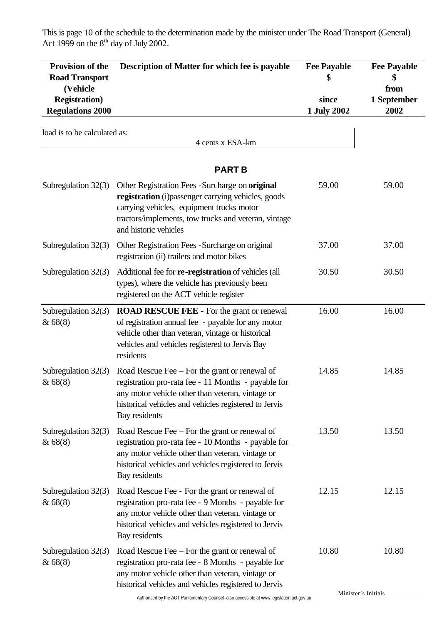This is page 10 of the schedule to the determination made by the minister under The Road Transport (General) Act 1999 on the  $8<sup>th</sup>$  day of July 2002.

| Provision of the<br><b>Road Transport</b><br>(Vehicle<br><b>Registration</b> )<br><b>Regulations 2000</b> | Description of Matter for which fee is payable                                                                                                                                                                                       | <b>Fee Payable</b><br>since<br>1 July 2002 | <b>Fee Payable</b><br>from<br>1 September<br>2002 |
|-----------------------------------------------------------------------------------------------------------|--------------------------------------------------------------------------------------------------------------------------------------------------------------------------------------------------------------------------------------|--------------------------------------------|---------------------------------------------------|
| load is to be calculated as:                                                                              |                                                                                                                                                                                                                                      |                                            |                                                   |
|                                                                                                           | 4 cents x ESA-km                                                                                                                                                                                                                     |                                            |                                                   |
|                                                                                                           | <b>PART B</b>                                                                                                                                                                                                                        |                                            |                                                   |
| Subregulation 32(3)                                                                                       | Other Registration Fees - Surcharge on original<br>registration (i) passenger carrying vehicles, goods<br>carrying vehicles, equipment trucks motor<br>tractors/implements, tow trucks and veteran, vintage<br>and historic vehicles | 59.00                                      | 59.00                                             |
| Subregulation 32(3)                                                                                       | Other Registration Fees - Surcharge on original<br>registration (ii) trailers and motor bikes                                                                                                                                        | 37.00                                      | 37.00                                             |
| Subregulation 32(3)                                                                                       | Additional fee for re-registration of vehicles (all<br>types), where the vehicle has previously been<br>registered on the ACT vehicle register                                                                                       | 30.50                                      | 30.50                                             |
| Subregulation 32(3)<br>& 68(8)                                                                            | <b>ROAD RESCUE FEE - For the grant or renewal</b><br>of registration annual fee - payable for any motor<br>vehicle other than veteran, vintage or historical<br>vehicles and vehicles registered to Jervis Bay<br>residents          | 16.00                                      | 16.00                                             |
| Subregulation $32(3)$<br>& 68(8)                                                                          | Road Rescue Fee – For the grant or renewal of<br>registration pro-rata fee - 11 Months - payable for<br>any motor vehicle other than veteran, vintage or<br>historical vehicles and vehicles registered to Jervis<br>Bay residents   | 14.85                                      | 14.85                                             |
| Subregulation $32(3)$<br>& 68(8)                                                                          | Road Rescue Fee – For the grant or renewal of<br>registration pro-rata fee - 10 Months - payable for<br>any motor vehicle other than veteran, vintage or<br>historical vehicles and vehicles registered to Jervis<br>Bay residents   | 13.50                                      | 13.50                                             |
| Subregulation $32(3)$<br>& 68(8)                                                                          | Road Rescue Fee - For the grant or renewal of<br>registration pro-rata fee - 9 Months - payable for<br>any motor vehicle other than veteran, vintage or<br>historical vehicles and vehicles registered to Jervis<br>Bay residents    | 12.15                                      | 12.15                                             |
| Subregulation $32(3)$<br>& 68(8)                                                                          | Road Rescue Fee – For the grant or renewal of<br>registration pro-rata fee - 8 Months - payable for<br>any motor vehicle other than veteran, vintage or<br>historical vehicles and vehicles registered to Jervis                     | 10.80                                      | 10.80                                             |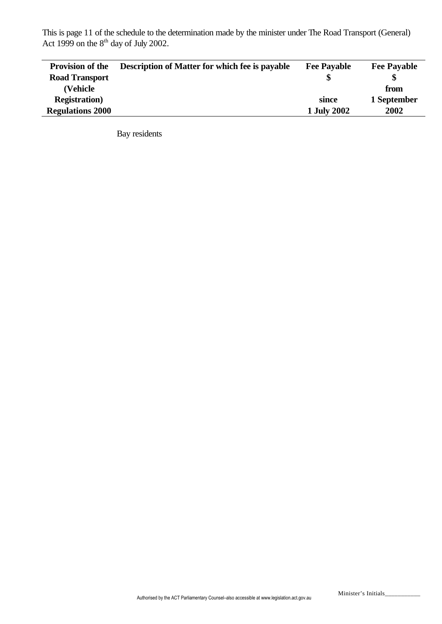This is page 11 of the schedule to the determination made by the minister under The Road Transport (General) Act 1999 on the  $8<sup>th</sup>$  day of July 2002.

| <b>Provision of the</b> | <b>Description of Matter for which fee is payable</b> | <b>Fee Payable</b> | <b>Fee Payable</b> |
|-------------------------|-------------------------------------------------------|--------------------|--------------------|
| <b>Road Transport</b>   |                                                       |                    | \$                 |
| (Vehicle                |                                                       |                    | from               |
| <b>Registration</b> )   |                                                       | since              | 1 September        |
| <b>Regulations 2000</b> |                                                       | 1 July 2002        | 2002               |

Bay residents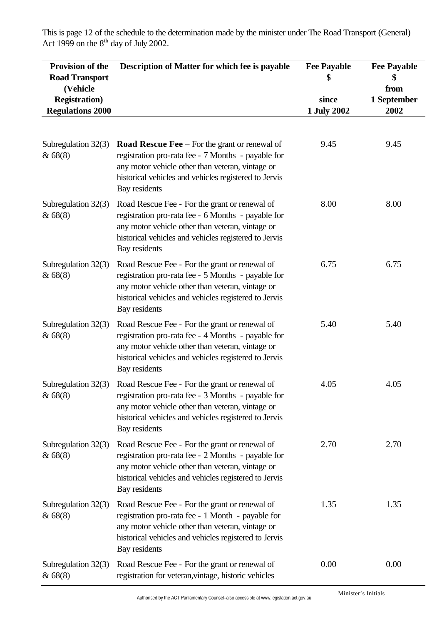**Provision of the Road Transport (Vehicle Registration) Regulations 2000 Description of Matter for which fee is payable Fee Payable \$ since 1 July 2002 Fee Payable \$ from 1 September 2002** Subregulation 32(3) & 68(8) **Road Rescue Fee** – For the grant or renewal of registration pro-rata fee - 7 Months - payable for any motor vehicle other than veteran, vintage or historical vehicles and vehicles registered to Jervis Bay residents 9.45 9.45 Subregulation 32(3) & 68(8) Road Rescue Fee - For the grant or renewal of registration pro-rata fee - 6 Months - payable for any motor vehicle other than veteran, vintage or historical vehicles and vehicles registered to Jervis Bay residents 8.00 8.00 Subregulation 32(3) & 68(8) Road Rescue Fee - For the grant or renewal of registration pro-rata fee - 5 Months - payable for any motor vehicle other than veteran, vintage or historical vehicles and vehicles registered to Jervis Bay residents 6.75 6.75 Subregulation 32(3) & 68(8) Road Rescue Fee - For the grant or renewal of registration pro-rata fee - 4 Months - payable for any motor vehicle other than veteran, vintage or historical vehicles and vehicles registered to Jervis Bay residents 5.40 5.40 Subregulation 32(3) & 68(8) Road Rescue Fee - For the grant or renewal of registration pro-rata fee - 3 Months - payable for any motor vehicle other than veteran, vintage or historical vehicles and vehicles registered to Jervis Bay residents 4.05 4.05 Subregulation 32(3) & 68(8) Road Rescue Fee - For the grant or renewal of registration pro-rata fee - 2 Months - payable for any motor vehicle other than veteran, vintage or historical vehicles and vehicles registered to Jervis Bay residents 2.70 2.70 Subregulation 32(3) & 68(8) Road Rescue Fee - For the grant or renewal of registration pro-rata fee - 1 Month - payable for any motor vehicle other than veteran, vintage or historical vehicles and vehicles registered to Jervis Bay residents 1.35 1.35 Subregulation 32(3) & 68(8) Road Rescue Fee - For the grant or renewal of registration for veteran,vintage, historic vehicles 0.00 0.00

This is page 12 of the schedule to the determination made by the minister under The Road Transport (General) Act 1999 on the  $8<sup>th</sup>$  day of July 2002.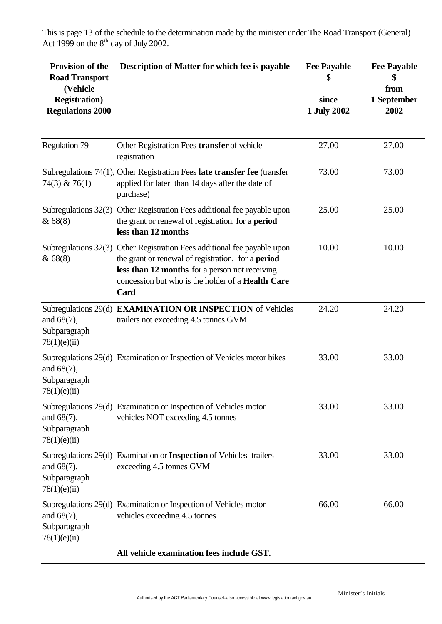This is page 13 of the schedule to the determination made by the minister under The Road Transport (General) Act 1999 on the  $8<sup>th</sup>$  day of July 2002.

| Provision of the<br><b>Road Transport</b><br>(Vehicle<br><b>Registration</b> )<br><b>Regulations 2000</b> | Description of Matter for which fee is payable                                                                                                                                                                                  | <b>Fee Payable</b><br>since<br>1 July 2002 | <b>Fee Payable</b><br>\$<br>from<br>1 September<br>2002 |
|-----------------------------------------------------------------------------------------------------------|---------------------------------------------------------------------------------------------------------------------------------------------------------------------------------------------------------------------------------|--------------------------------------------|---------------------------------------------------------|
|                                                                                                           |                                                                                                                                                                                                                                 |                                            |                                                         |
| Regulation 79                                                                                             | Other Registration Fees transfer of vehicle<br>registration                                                                                                                                                                     | 27.00                                      | 27.00                                                   |
| $74(3)$ & $76(1)$                                                                                         | Subregulations 74(1), Other Registration Fees late transfer fee (transfer<br>applied for later than 14 days after the date of<br>purchase)                                                                                      | 73.00                                      | 73.00                                                   |
| &68(8)                                                                                                    | Subregulations 32(3) Other Registration Fees additional fee payable upon<br>the grant or renewal of registration, for a <b>period</b><br>less than 12 months                                                                    | 25.00                                      | 25.00                                                   |
| Subregulations $32(3)$<br>& 68(8)                                                                         | Other Registration Fees additional fee payable upon<br>the grant or renewal of registration, for a <b>period</b><br>less than 12 months for a person not receiving<br>concession but who is the holder of a Health Care<br>Card | 10.00                                      | 10.00                                                   |
| and $68(7)$ ,<br>Subparagraph<br>78(1)(e)(ii)                                                             | Subregulations 29(d) EXAMINATION OR INSPECTION of Vehicles<br>trailers not exceeding 4.5 tonnes GVM                                                                                                                             | 24.20                                      | 24.20                                                   |
| and 68(7),<br>Subparagraph<br>78(1)(e)(ii)                                                                | Subregulations 29(d) Examination or Inspection of Vehicles motor bikes                                                                                                                                                          | 33.00                                      | 33.00                                                   |
| and $68(7)$ ,<br>Subparagraph<br>78(1)(e)(ii)                                                             | Subregulations 29(d) Examination or Inspection of Vehicles motor<br>vehicles NOT exceeding 4.5 tonnes                                                                                                                           | 33.00                                      | 33.00                                                   |
| and $68(7)$ ,<br>Subparagraph<br>78(1)(e)(ii)                                                             | Subregulations 29(d) Examination or Inspection of Vehicles trailers<br>exceeding 4.5 tonnes GVM                                                                                                                                 | 33.00                                      | 33.00                                                   |
| and $68(7)$ ,<br>Subparagraph<br>78(1)(e)(ii)                                                             | Subregulations 29(d) Examination or Inspection of Vehicles motor<br>vehicles exceeding 4.5 tonnes                                                                                                                               | 66.00                                      | 66.00                                                   |
|                                                                                                           |                                                                                                                                                                                                                                 |                                            |                                                         |

**All vehicle examination fees include GST.**